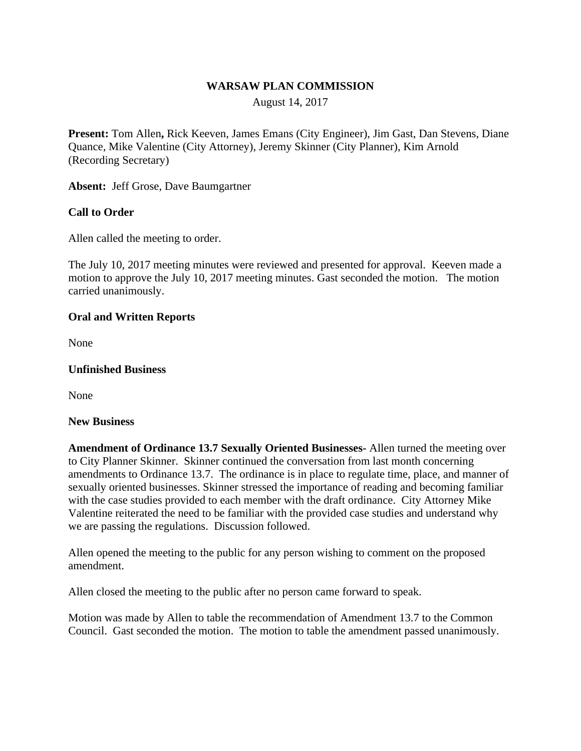### **WARSAW PLAN COMMISSION**

August 14, 2017

**Present:** Tom Allen**,** Rick Keeven, James Emans (City Engineer), Jim Gast, Dan Stevens, Diane Quance, Mike Valentine (City Attorney), Jeremy Skinner (City Planner), Kim Arnold (Recording Secretary)

**Absent:** Jeff Grose, Dave Baumgartner

## **Call to Order**

Allen called the meeting to order.

The July 10, 2017 meeting minutes were reviewed and presented for approval. Keeven made a motion to approve the July 10, 2017 meeting minutes. Gast seconded the motion. The motion carried unanimously.

### **Oral and Written Reports**

None

### **Unfinished Business**

None

#### **New Business**

**Amendment of Ordinance 13.7 Sexually Oriented Businesses-** Allen turned the meeting over to City Planner Skinner. Skinner continued the conversation from last month concerning amendments to Ordinance 13.7. The ordinance is in place to regulate time, place, and manner of sexually oriented businesses. Skinner stressed the importance of reading and becoming familiar with the case studies provided to each member with the draft ordinance. City Attorney Mike Valentine reiterated the need to be familiar with the provided case studies and understand why we are passing the regulations. Discussion followed.

Allen opened the meeting to the public for any person wishing to comment on the proposed amendment.

Allen closed the meeting to the public after no person came forward to speak.

Motion was made by Allen to table the recommendation of Amendment 13.7 to the Common Council. Gast seconded the motion. The motion to table the amendment passed unanimously.